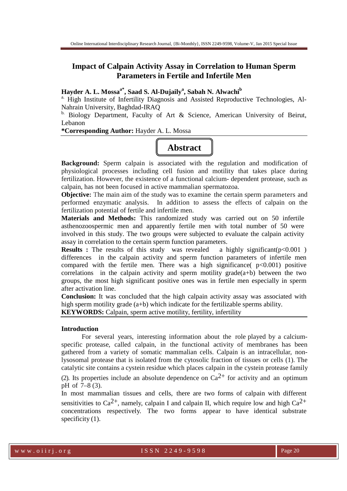# **Impact of Calpain Activity Assay in Correlation to Human Sperm Parameters in Fertile and Infertile Men**

## **Hayder A. L. Mossaa\*, Saad S. Al-Dujaily<sup>a</sup> , Sabah N. Alwachi<sup>b</sup>**

<sup>a.</sup> High Institute of Infertility Diagnosis and Assisted Reproductive Technologies, Al-Nahrain University, Baghdad-IRAQ

b. Biology Department, Faculty of Art & Science, American University of Beirut, Lebanon

**\*Corresponding Author:** Hayder A. L. Mossa

# **Abstract**

**Background:** Sperm calpain is associated with the regulation and modification of physiological processes including cell fusion and motility that takes place during fertilization. However, the existence of a functional calcium- dependent protease, such as calpain, has not been focused in active mammalian spermatozoa.

**Objective:** The main aim of the study was to examine the certain sperm parameters and performed enzymatic analysis. In addition to assess the effects of calpain on the fertilization potential of fertile and infertile men.

**Materials and Methods:** This randomized study was carried out on 50 infertile asthenozoospermic men and apparently fertile men with total number of 50 were involved in this study. The two groups were subjected to evaluate the calpain activity assay in correlation to the certain sperm function parameters.

**Results :** The results of this study was revealed a highly significant(p<0.001) differences in the calpain activity and sperm function parameters of infertile men compared with the fertile men. There was a high significance( $p<0.001$ ) positive correlations in the calpain activity and sperm motility grade( $a+b$ ) between the two groups, the most high significant positive ones was in fertile men especially in sperm after activation line.

**Conclusion:** It was concluded that the high calpain activity assay was associated with high sperm motility grade (a+b) which indicate for the fertilizable sperms ability.

**KEYWORDS:** Calpain, sperm active motility, fertility, infertility

#### **Introduction**

For several years, interesting information about the role played by a calciumspecific protease, called calpain, in the functional activity of membranes has been gathered from a variety of somatic mammalian cells. Calpain is an intracellular, nonlysosomal protease that is isolated from the cytosolic fraction of tissues or cells (1). The catalytic site contains a cystein residue which places calpain in the cystein protease family

(2). Its properties include an absolute dependence on  $Ca^{2+}$  for activity and an optimum pH of 7–8 (3).

In most mammalian tissues and cells, there are two forms of calpain with different sensitivities to  $Ca^{2+}$ , namely, calpain I and calpain II, which require low and high  $Ca^{2+}$ concentrations respectively. The two forms appear to have identical substrate specificity  $(1)$ .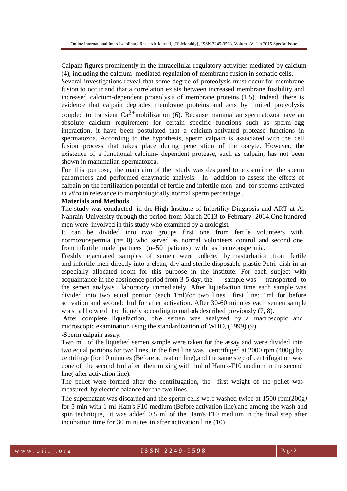Calpain figures prominently in the intracellular regulatory activities mediated by calcium (4), including the calcium- mediated regulation of membrane fusion in somatic cells.

Several investigations reveal that some degree of proteolysis must occur for membrane fusion to occur and that a correlation exists between increased membrane fusibility and increased calcium-dependent proteolysis of membrane proteins (1,5). Indeed, there is evidence that calpain degrades membrane proteins and acts by limited proteolysis coupled to transient  $Ca^{2+}$ mobilization (6). Because mammalian spermatozoa have an absolute calcium requirement for certain specific functions such as sperm–egg interaction, it have been postulated that a calcium-activated protease functions in spermatozoa. According to the hypothesis, sperm calpain is associated with the cell fusion process that takes place during penetration of the oocyte. However, the existence of a functional calcium- dependent protease, such as calpain, has not been shown in mammalian spermatozoa.

For this purpose, the main aim of the study was designed to  $e$  x a m i n  $e$  the sperm parameters and performed enzymatic analysis. In addition to assess the effects of calpain on the fertilization potential of fertile and infertile men and for sperms activated *in vitro* in relevance to morphologically normal sperm percentage .

#### **Materials and Methods**

The study was conducted in the High Institute of Infertility Diagnosis and ART at Al-Nahrain University through the period from March 2013 to February 2014.One hundred men were involved in this study who examined by a urologist.

It can be divided into two groups first one from fertile volunteers with normozoospermia (n=50) who served as normal volunteers control and second one from infertile male partners (n=50 patients) with asthenozoospermia.

Freshly ejaculated samples of semen were collected by masturbation from fertile and infertile men directly into a clean, dry and sterile disposable plastic Petri–dish in an especially allocated room for this purpose in the Institute. For each subject with acquaintance in the abstinence period from 3-5 day, the sample was transported to the semen analysis laboratory immediately. After liquefaction time each sample was divided into two equal portion (each 1ml)for two lines first line: 1ml for before activation and second: 1ml for after activation. After 30-60 minutes each semen sample w a s  $a$  l l o w e d t o liquefy according to methods described previously  $(7, 8)$ .

After complete liquefaction, the semen was analyzed by a macroscopic and microscopic examination using the standardization of WHO, (1999) (9).

-Sperm calpain assay:

Two ml of the liquefied semen sample were taken for the assay and were divided into two equal portions for two lines, in the first line was centrifuged at  $2000$  rpm  $(400g)$  by centrifuge (for 10 minutes (Before activation line),and the same step of centrifugation was done of the second 1ml after their mixing with 1ml of Ham's-F10 medium in the second line( after activation line).

The pellet were formed after the centrifugation, the first weight of the pellet was measured by electric balance for the two lines.

The supernatant was discarded and the sperm cells were washed twice at 1500 rpm(200g*)*  for 5 min with 1 ml Ham's F10 medium (Before activation line),and among the wash and spin technique, it was added 0.5 ml of the Ham's F10 medium in the final step after incubation time for 30 minutes in after activation line (10).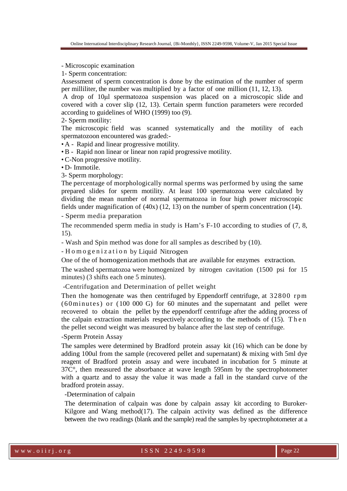- Microscopic examination

1- Sperm concentration:

Assessment of sperm concentration is done by the estimation of the number of sperm per milliliter, the number was multiplied by a factor of one million (11, 12, 13).

 A drop of 10µl spermatozoa suspension was placed on a microscopic slide and covered with a cover slip (12, 13). Certain sperm function parameters were recorded according to guidelines of WHO (1999) too (9).

2- Sperm motility:

The microscopic field was scanned systematically and the motility of each spermatozoon encountered was graded:-

• A - Rapid and linear progressive motility.

• B - Rapid non linear or linear non rapid progressive motility.

• C-Non progressive motility.

• D- Immotile.

3- Sperm morphology:

The percentage of morphologically normal sperms was performed by using the same prepared slides for sperm motility. At least 100 spermatozoa were calculated by dividing the mean number of normal spermatozoa in four high power microscopic fields under magnification of (40x) (12, 13) on the number of sperm concentration (14).

- Sperm media preparation

The recommended sperm media in study is Ham's F-10 according to studies of (7, 8, 15).

- Wash and Spin method was done for all samples as described by (10).

- H o m o g e n i z a t i o n by Liquid Nitrogen

One of the of homogenization methods that are available for enzymes extraction.

The washed spermatozoa were homogenized by nitrogen cavitation (1500 psi for 15 minutes) (3 shifts each one 5 minutes).

-Centrifugation and Determination of pellet weight

Then the homogenate was then centrifuged by Eppendorff centrifuge, at 32800 rpm  $(60 \text{ minutes})$  or  $(100\ 000\ \text{G})$  for 60 minutes and the supernatant and pellet were recovered to obtain the pellet by the eppendorff centrifuge after the adding process of the calpain extraction materials respectively according to the methods of (15). T h e n the pellet second weight was measured by balance after the last step of centrifuge.

## -Sperm Protein Assay

The samples were determined by Bradford protein assay kit (16) which can be done by adding 100ul from the sample (recovered pellet and supernatant) & mixing with 5ml dye reagent of Bradford protein assay and were incubated in incubation for 5 minute at 37C°, then measured the absorbance at wave length 595nm by the spectrophotometer with a quartz and to assay the value it was made a fall in the standard curve of the bradford protein assay.

-Determination of calpain

The determination of calpain was done by calpain assay kit according to Buroker-Kilgore and Wang method $(17)$ . The calpain activity was defined as the difference between the two readings (blank and the sample) read the samples by spectrophotometer at a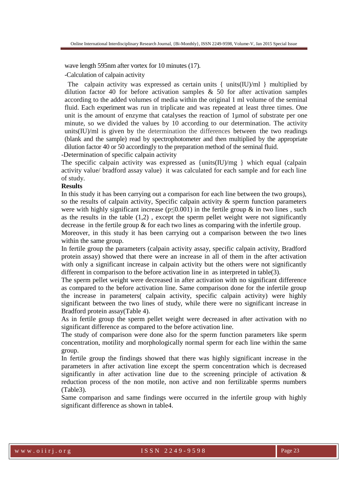wave length 595nm after vortex for 10 minutes (17).

-Calculation of calpain activity

The calpain activity was expressed as certain units  $\{$  units $(IU)/ml \}$  multiplied by dilution factor 40 for before activation samples  $\&$  50 for after activation samples according to the added volumes of media within the original 1 ml volume of the seminal fluid. Each experiment was run in triplicate and was repeated at least three times. One unit is the amount of enzyme that catalyses the reaction of 1µmol of substrate per one minute, so we divided the values by 10 according to our determination. The activity units(IU)/ml is given by the determination the differences between the two readings (blank and the sample) read by spectrophotometer and then multiplied by the appropriate dilution factor 40 or 50 accordingly to the preparation method of the seminal fluid.

-Determination of specific calpain activity

The specific calpain activity was expressed as {units(IU)/mg } which equal (calpain activity value/ bradford assay value) it was calculated for each sample and for each line of study.

#### **Results**

In this study it has been carrying out a comparison for each line between the two groups), so the results of calpain activity, Specific calpain activity & sperm function parameters were with highly significant increase ( $p \le 0.001$ ) in the fertile group & in two lines, such as the results in the table  $(1,2)$ , except the sperm pellet weight were not significantly decrease in the fertile group & for each two lines as comparing with the infertile group.

Moreover, in this study it has been carrying out a comparison between the two lines within the same group.

In fertile group the parameters (calpain activity assay, specific calpain activity, Bradford protein assay) showed that there were an increase in all of them in the after activation with only a significant increase in calpain activity but the others were not significantly different in comparison to the before activation line in as interpreted in table(3).

The sperm pellet weight were decreased in after activation with no significant difference as compared to the before activation line. Same comparison done for the infertile group the increase in parameters( calpain activity, specific calpain activity) were highly significant between the two lines of study, while there were no significant increase in Bradford protein assay(Table 4).

As in fertile group the sperm pellet weight were decreased in after activation with no significant difference as compared to the before activation line.

The study of comparison were done also for the sperm function parameters like sperm concentration, motility and morphologically normal sperm for each line within the same group.

In fertile group the findings showed that there was highly significant increase in the parameters in after activation line except the sperm concentration which is decreased significantly in after activation line due to the screening principle of activation  $\&$ reduction process of the non motile, non active and non fertilizable sperms numbers (Table3).

Same comparison and same findings were occurred in the infertile group with highly significant difference as shown in table4.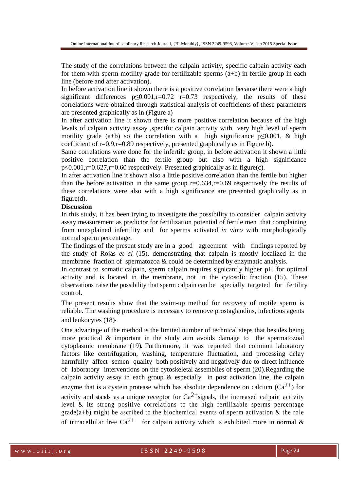The study of the correlations between the calpain activity, specific calpain activity each for them with sperm motility grade for fertilizable sperms  $(a+b)$  in fertile group in each line (before and after activation).

In before activation line it shown there is a positive correlation because there were a high significant differences  $p\leq 0.001$ ,  $r=0.72$  r=0.73 respectively, the results of these correlations were obtained through statistical analysis of coefficients of these parameters are presented graphically as in (Figure a)

In after activation line it shown there is more positive correlation because of the high levels of calpain activity assay ,specific calpain activity with very high level of sperm motility grade (a+b) so the correlation with a high significance  $p\leq 0.001$ , & high coefficient of  $r=0.9$ , $r=0.89$  respectively, presented graphically as in Figure b).

Same correlations were done for the infertile group, in before activation it shown a little positive correlation than the fertile group but also with a high significance p≤0.001,r=0.627,r=0.60 respectively. Presented graphically as in figure(c).

In after activation line it shown also a little positive correlation than the fertile but higher than the before activation in the same group  $r=0.634$ ,  $r=0.69$  respectively the results of these correlations were also with a high significance are presented graphically as in figure(d).

### **Discussion**

In this study, it has been trying to investigate the possibility to consider calpain activity assay measurement as predictor for fertilization potential of fertile men that complaining from unexplained infertility and for sperms activated *in vitro* with morphologically normal sperm percentage.

The findings of the present study are in a good agreement with findings reported by the study of Rojas *et al* (15), demonstrating that calpain is mostly localized in the membrane fraction of spermatozoa  $&$  could be determined by enzymatic analysis.

In contrast to somatic calpain, sperm calpain requires signicantly higher pH for optimal activity and is located in the membrane, not in the cytosolic fraction (15). These observations raise the possibility that sperm calpain can be specially targeted for fertility control.

The present results show that the swim-up method for recovery of motile sperm is reliable. The washing procedure is necessary to remove prostaglandins, infectious agents and leukocytes (18).

One advantage of the method is the limited number of technical steps that besides being more practical & important in the study aim avoids damage to the spermatozoal cytoplasmic membrane (19). Furthermore, it was reported that common laboratory factors like centrifugation, washing, temperature fluctuation, and processing delay harmfully affect semen quality both positively and negatively due to direct influence of laboratory interventions on the cytoskeletal assemblies of sperm (20).Regarding the calpain activity assay in each group & especially in post activation line, the calpain enzyme that is a cystein protease which has absolute dependence on calcium  $(Ca^{2+})$  for activity and stands as a unique receptor for  $Ca^{2+}$  signals, the increased calpain activity level & its strong positive correlations to the high fertilizable sperms percentage  $\text{grade}(a+b)$  might be ascribed to the biochemical events of sperm activation & the role of intracellular free Ca<sup>2+</sup> for calpain activity which is exhibited more in normal &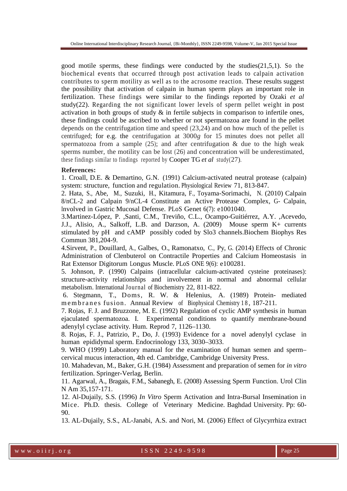good motile sperms, these findings were conducted by the studies $(21,5,1)$ . So the biochemical events that occurred through post activation leads to calpain activation contributes to sperm motility as well as to the acrosome reaction. These results suggest the possibility that activation of calpain in human sperm plays an important role in fertilization. These findings were similar to the findings reported by Ozaki *et al* study(22). Regarding the not significant lower levels of sperm pellet weight in post activation in both groups of study  $\&$  in fertile subjects in comparison to infertile ones, these findings could be ascribed to whether or not spermatozoa are found in the pellet depends on the centrifugation time and speed (23,24) and on how much of the pellet is centrifuged; for e.g. the centrifugation at 3000*g* for 15 minutes does not pellet all spermatozoa from a sample  $(25)$ ; and after centrifugation & due to the high weak sperms number, the motility can be lost (26) and concentration will be underestimated, these findings similar to findings reported by Cooper TG *et al* study(27).

#### **References:**

1. Croall, D.E. & Demartino, G.N. (1991) Calcium-activated neutral protease (calpain) system: structure, function and regulation. Physiological Review 71, 813-847.

2. Hata, S., Abe, M., Suzuki, H., Kitamura, F., Toyama-Sorimachi, N. (2010) Calpain 8/nCL-2 and Calpain 9/nCL-4 Constitute an Active Protease Complex, G- Calpain, Involved in Gastric Mucosal Defense. PLoS Genet 6(7): e1001040.

3.Martinez-López, P. ,Santi, C.M., Treviño, C.L., Ocampo-Guitiérrez, A.Y. ,Acevedo, J.J., Alisio, A., Salkoff, L.B. and Darzson, A. (2009) Mouse sperm K+ currents stimulated by pH and cAMP possibly coded by Slo3 channels.Biochem Biophys Res Commun 381,204-9.

4.Sirvent, P., Douillard, A., Galbes, O., Ramonatxo, C., Py, G. (2014) Effects of Chronic Administration of Clenbuterol on Contractile Properties and Calcium Homeostasis in Rat Extensor Digitorum Longus Muscle. PLoS ONE 9(6): e100281.

5. Johnson, P. (1990) Calpains (intracellular calcium-activated cysteine proteinases): structure-activity relationships and involvement in normal and abnormal cellular metabolism. International Journal of Biochemistry 22, 811-822.

 6. Stegmann, T., Doms, R. W. & Helenius, A. (1989) Protein- mediated m e m b r a n e s fusion. Annual Review of Biophysical Chemistry 18, 187-211.

7. Rojas, F. J. and Bruzzone, M. E. (1992) Regulation of cyclic AMP synthesis in human ejaculated spermatozoa. I. Experimental conditions to quantify membrane-bound adenylyl cyclase activity. Hum. Reprod 7, 1126–1130.

8. Rojas, F. J., Patrizio, P., Do, J. (1993) Evidence for a novel adenylyl cyclase in human epididymal sperm. Endocrinology 133, 3030–3033.

9. WHO (1999) Laboratory manual for the examination of human semen and sperm– cervical mucus interaction, 4th ed. Cambridge, Cambridge University Press.

10. Mahadevan, M., Baker, G.H. (1984) Assessment and preparation of semen for *in vitro* fertilization. Springer-Verlag, Berlin.

11. Agarwal, A., Bragais, F.M., Sabanegh, E. (2008) Assessing Sperm Function. Urol Clin N Am 35,157-171.

12. Al-Dujaily, S.S. (1996) *In Vitro* Sperm Activation and Intra-Bursal Insemination in Mice. Ph.D. thesis. College of Veterinary Medicine. Baghdad University. Pp: 60- 90.

13. AL-Dujaily, S.S., AL-Janabi, A.S. and Nori, M. (2006) Effect of Glycyrrhiza extract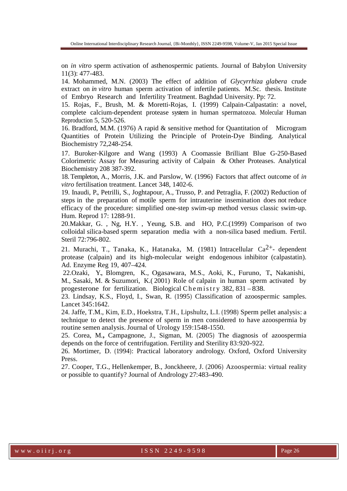on *in vitro* sperm activation of asthenospermic patients. Journal of Babylon University 11(3): 477-483.

14. Mohammed, M.N. (2003) The effect of addition of *Glycyrrhiza glabera* crude extract on *in vitro* human sperm activation of infertile patients. M.Sc. thesis. Institute of Embryo Research and Infertility Treatment. Baghdad University. Pp: 72.

15. Rojas, F., Brush, M. & Moretti-Rojas, I. (1999) Calpain-Calpastatin: a novel, complete calcium-dependent protease system in human spermatozoa. Molecular Human Reproduction 5, 520-526.

16. Bradford, M.M. (1976) A rapid & sensitive method for Quantitation of Microgram Quantities of Protein Utilizing the Principle of Protein-Dye Binding. Analytical Biochemistry 72,248-254.

17. Buroker-Kilgore and Wang (1993) A Coomassie Brilliant Blue G-250-Based Colorimetric Assay for Measuring activity of Calpain & Other Proteases. Analytical Biochemistry 208 387-392.

18. Templeton, A., Morris, J.K. and Parslow, W. (1996) Factors that affect outcome of *in vitro* fertilisation treatment. Lancet 348, 1402-6.

19. Inaudi, P., Petrilli, S., Joghtapour, A., Trusso, P. and Petraglia, F. (2002) Reduction of steps in the preparation of motile sperm for intrauterine insemination does not reduce efficacy of the procedure: simplified one-step swim-up method versus classic swim-up. Hum. Reprod 17: 1288-91.

20.Makkar, G. , Ng, H.Y. , Yeung, S.B. and HO, P.C.(1999) Comparison of two colloidal silica-based sperm separation media with a non-silica based medium. Fertil. Steril 72:796-802.

21. Murachi, T., Tanaka, K., Hatanaka, M. (1981) Intracellular  $Ca^{2+}$ - dependent protease (calpain) and its high-molecular weight endogenous inhibitor (calpastatin). Ad. Enzyme Reg 19, 407–424.

 22.Ozaki, Y., Blomgren, K., Ogasawara, M.S., Aoki, K., Furuno, T., Nakanishi, M., Sasaki, M. & Suzumori, K.( 2001) Role of calpain in human sperm activated by progesterone for fertilization. Biological Chemistry 382, 831 – 838.

23. Lindsay, K.S., Floyd, I., Swan, R. (1995) Classification of azoospermic samples. Lancet 345:1642.

24. Jaffe, T.M., Kim, E.D., Hoekstra, T.H., Lipshultz, L.I. (1998) Sperm pellet analysis: a technique to detect the presence of sperm in men considered to have azoospermia by routine semen analysis. Journal of Urology 159:1548-1550.

25. Corea, M.**,** Campagnone, J., Sigman, M. (2005) The diagnosis of azoospermia depends on the force of centrifugation. Fertility and Sterility 83:920-922.

26. Mortimer, D. (1994): Practical laboratory andrology. Oxford, Oxford University Press.

27. Cooper, T.G., Hellenkemper, B., Jonckheere, J. (2006) Azoospermia: virtual reality or possible to quantify? Journal of Andrology 27:483-490.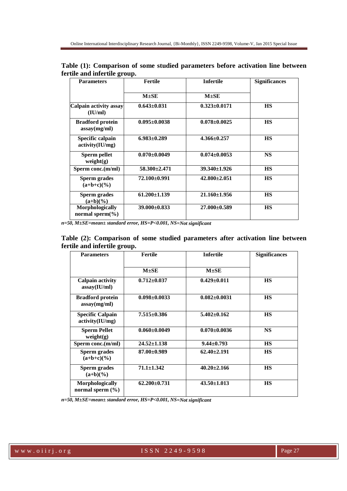| <b>Parameters</b>                       | <b>Fertile</b>     | <b>Infertile</b>   | <b>Significances</b> |
|-----------------------------------------|--------------------|--------------------|----------------------|
|                                         | $M \pm SE$         | $M \pm SE$         |                      |
| Calpain activity assay<br>(IU/ml)       | $0.643 \pm 0.031$  | $0.323 \pm 0.0171$ | <b>HS</b>            |
| <b>Bradford protein</b><br>assay(mg/ml) | $0.095 \pm 0.0038$ | $0.078 \pm 0.0025$ | <b>HS</b>            |
| Specific calpain<br>activity(IU/mg)     | $6.983 \pm 0.289$  | $4.366 + 0.257$    | <b>HS</b>            |
| Sperm pellet<br>weight(g)               | $0.070 \pm 0.0049$ | $0.074 \pm 0.0053$ | <b>NS</b>            |
| Sperm conc.(m/ml)                       | $58.300 + 2.471$   | $39.340 \pm 1.926$ | <b>HS</b>            |
| Sperm grades<br>$(a+b+c)(\%)$           | 72.100±0.991       | $42.800 \pm 2.051$ | <b>HS</b>            |
| <b>Sperm grades</b><br>$(a+b)(\%)$      | $61.200 \pm 1.139$ | $21.160 \pm 1.956$ | <b>HS</b>            |
| Morphologically<br>normal sperm $(\% )$ | 39.000±0.833       | $27.000\pm0.589$   | <b>HS</b>            |

**Table (1): Comparison of some studied parameters before activation line between fertile and infertile group.**

*n=50, M±SE=mean± standard error, HS=P<0.001, NS=Not significant* 

**Table (2): Comparison of some studied parameters after activation line between fertile and infertile group.**

| <b>Parameters</b>                          | <b>Fertile</b>     | <b>Infertile</b>   | <b>Significances</b> |
|--------------------------------------------|--------------------|--------------------|----------------------|
|                                            | $M \pm SE$         | $M \pm SE$         |                      |
| <b>Calpain activity</b><br>assay(IU/ml)    | $0.712 \pm 0.037$  | $0.429 \pm 0.011$  | <b>HS</b>            |
| <b>Bradford protein</b><br>assay(mg/ml)    | $0.098 \pm 0.0033$ | $0.082 \pm 0.0031$ | <b>HS</b>            |
| <b>Specific Calpain</b><br>activity(IU/mg) | $7.515 \pm 0.386$  | $5.402 \pm 0.162$  | <b>HS</b>            |
| <b>Sperm Pellet</b><br>weight(g)           | $0.060 \pm 0.0049$ | $0.070 \pm 0.0036$ | <b>NS</b>            |
| Sperm conc.(m/ml)                          | $24.52 \pm 1.138$  | $9.44 \pm 0.793$   | <b>HS</b>            |
| Sperm grades<br>$(a+b+c)(\%)$              | $87.00\pm0.989$    | $62.40 \pm 2.191$  | <b>HS</b>            |
| Sperm grades<br>$(a+b)(\%)$                | $71.1 \pm 1.342$   | $40.20 \pm 2.166$  | <b>HS</b>            |
| Morphologically<br>normal sperm $(\% )$    | $62.200 \pm 0.731$ | $43.50 \pm 1.013$  | <b>HS</b>            |

*n=50, M±SE=mean± standard error, HS=P<0.001, NS=Not significant*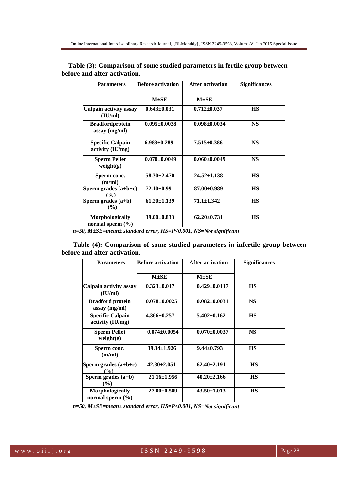| <b>Parameters</b>                           | <b>Before activation</b> | After activation   | <b>Significances</b> |
|---------------------------------------------|--------------------------|--------------------|----------------------|
|                                             | $M \pm SE$               | $M \pm SE$         |                      |
| Calpain activity assay<br>(IU/ml)           | $0.643 \pm 0.031$        | $0.712 \pm 0.037$  | <b>HS</b>            |
| <b>Bradfordprotein</b><br>assay (mg/ml)     | $0.095 \pm 0.0038$       | $0.098 \pm 0.0034$ | <b>NS</b>            |
| <b>Specific Calpain</b><br>activity (IU/mg) | $6.983 \pm 0.289$        | $7.515 \pm 0.386$  | <b>NS</b>            |
| <b>Sperm Pellet</b><br>weight(g)            | $0.070 \pm 0.0049$       | $0.060 \pm 0.0049$ | <b>NS</b>            |
| Sperm conc.<br>(m/ml)                       | $58.30 \pm 2.470$        | $24.52 \pm 1.138$  | <b>HS</b>            |
| Sperm grades $(a+b+c)$<br>$\frac{9}{6}$     | 72.10±0.991              | 87.00±0.989        | <b>HS</b>            |
| Sperm grades $(a+b)$<br>(%)                 | $61.20 \pm 1.139$        | $71.1 \pm 1.342$   | <b>HS</b>            |
| Morphologically<br>normal sperm $(\% )$     | $39.00 \pm 0.833$        | $62.20 \pm 0.731$  | <b>HS</b>            |

| Table (3): Comparison of some studied parameters in fertile group between |  |
|---------------------------------------------------------------------------|--|
| before and after activation.                                              |  |

 *n=50, M±SE=mean± standard error, HS=P<0.001, NS=Not significant* 

 **Table (4): Comparison of some studied parameters in infertile group between before and after activation.**

| <b>Parameters</b>                           | <b>Before activation</b> | <b>After activation</b> | <b>Significances</b> |
|---------------------------------------------|--------------------------|-------------------------|----------------------|
|                                             | $M \pm SE$               | $M \pm SE$              |                      |
| <b>Calpain activity assay</b><br>(IU/ml)    | $0.323 \pm 0.017$        | $0.429 \pm 0.0117$      | <b>HS</b>            |
| <b>Bradford protein</b><br>$assay$ (mg/ml)  | $0.078 \pm 0.0025$       | $0.082 \pm 0.0031$      | <b>NS</b>            |
| <b>Specific Calpain</b><br>activity (IU/mg) | $4.366 \pm 0.257$        | $5.402 \pm 0.162$       | <b>HS</b>            |
| <b>Sperm Pellet</b><br>weight(g)            | $0.074 \pm 0.0054$       | $0.070 \pm 0.0037$      | <b>NS</b>            |
| Sperm conc.<br>(m/ml)                       | $39.34 \pm 1.926$        | $9.44 \pm 0.793$        | <b>HS</b>            |
| Sperm grades $(a+b+c)$<br>$($ %)            | $42.80 \pm 2.051$        | $62.40 \pm 2.191$       | <b>HS</b>            |
| Sperm grades $(a+b)$<br>$($ %)              | $21.16 \pm 1.956$        | $40.20 \pm 2.166$       | <b>HS</b>            |
| Morphologically<br>normal sperm $(\% )$     | $27.00 + 0.589$          | $43.50 \pm 1.013$       | <b>HS</b>            |

 *n=50, M±SE=mean± standard error, HS=P<0.001, NS=Not significant*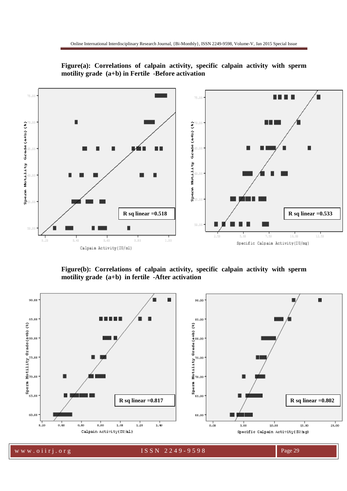

**Figure(a): Correlations of calpain activity, specific calpain activity with sperm motility grade (a+b) in Fertile -Before activation** 

**Figure(b): Correlations of calpain activity, specific calpain activity with sperm motility grade (a+b) in fertile -After activation**